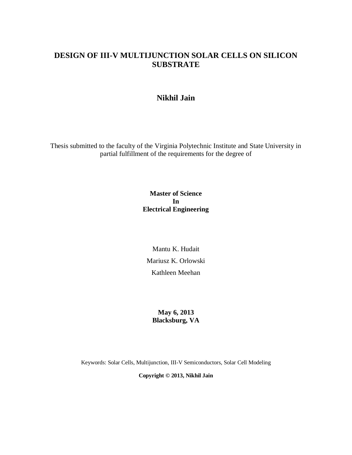# **DESIGN OF III-V MULTIJUNCTION SOLAR CELLS ON SILICON SUBSTRATE**

## **Nikhil Jain**

Thesis submitted to the faculty of the Virginia Polytechnic Institute and State University in partial fulfillment of the requirements for the degree of

#### **Master of Science In Electrical Engineering**

Mantu K. Hudait Mariusz K. Orlowski Kathleen Meehan

## **May 6, 2013 Blacksburg, VA**

Keywords: Solar Cells, Multijunction, III-V Semiconductors, Solar Cell Modeling

**Copyright © 2013, Nikhil Jain**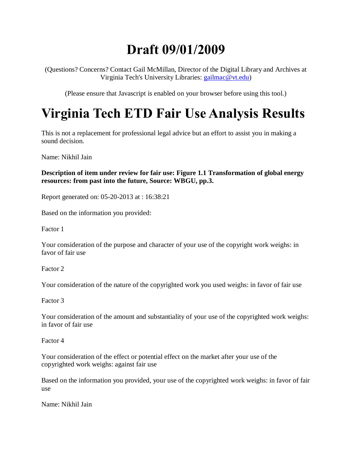# **Draft 09/01/2009**

(Questions? Concerns? Contact Gail McMillan, Director of the Digital Library and Archives at Virginia Tech's University Libraries: [gailmac@vt.edu\)](mailto:gailmac@vt.edu)

(Please ensure that Javascript is enabled on your browser before using this tool.)

# **Virginia Tech ETD Fair Use Analysis Results**

This is not a replacement for professional legal advice but an effort to assist you in making a sound decision.

Name: Nikhil Jain

## **Description of item under review for fair use: Figure 1.1 Transformation of global energy resources: from past into the future, Source: WBGU, pp.3.**

Report generated on: 05-20-2013 at : 16:38:21

Based on the information you provided:

Factor 1

Your consideration of the purpose and character of your use of the copyright work weighs: in favor of fair use

Factor 2

Your consideration of the nature of the copyrighted work you used weighs: in favor of fair use

Factor 3

Your consideration of the amount and substantiality of your use of the copyrighted work weighs: in favor of fair use

Factor 4

Your consideration of the effect or potential effect on the market after your use of the copyrighted work weighs: against fair use

Based on the information you provided, your use of the copyrighted work weighs: in favor of fair use

Name: Nikhil Jain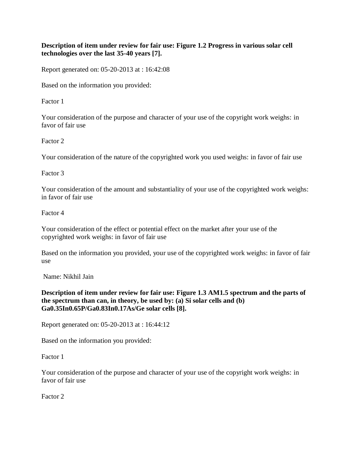#### **Description of item under review for fair use: Figure 1.2 Progress in various solar cell technologies over the last 35-40 years [7].**

Report generated on: 05-20-2013 at : 16:42:08

Based on the information you provided:

Factor 1

Your consideration of the purpose and character of your use of the copyright work weighs: in favor of fair use

Factor 2

Your consideration of the nature of the copyrighted work you used weighs: in favor of fair use

Factor 3

Your consideration of the amount and substantiality of your use of the copyrighted work weighs: in favor of fair use

Factor 4

Your consideration of the effect or potential effect on the market after your use of the copyrighted work weighs: in favor of fair use

Based on the information you provided, your use of the copyrighted work weighs: in favor of fair use

Name: Nikhil Jain

**Description of item under review for fair use: Figure 1.3 AM1.5 spectrum and the parts of the spectrum than can, in theory, be used by: (a) Si solar cells and (b) Ga0.35In0.65P/Ga0.83In0.17As/Ge solar cells [8].**

Report generated on: 05-20-2013 at : 16:44:12

Based on the information you provided:

Factor 1

Your consideration of the purpose and character of your use of the copyright work weighs: in favor of fair use

Factor 2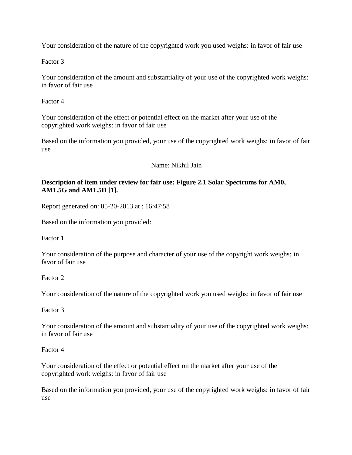Your consideration of the nature of the copyrighted work you used weighs: in favor of fair use

Factor 3

Your consideration of the amount and substantiality of your use of the copyrighted work weighs: in favor of fair use

Factor 4

Your consideration of the effect or potential effect on the market after your use of the copyrighted work weighs: in favor of fair use

Based on the information you provided, your use of the copyrighted work weighs: in favor of fair use

Name: Nikhil Jain

#### **Description of item under review for fair use: Figure 2.1 Solar Spectrums for AM0, AM1.5G and AM1.5D [1].**

Report generated on: 05-20-2013 at : 16:47:58

Based on the information you provided:

Factor 1

Your consideration of the purpose and character of your use of the copyright work weighs: in favor of fair use

Factor 2

Your consideration of the nature of the copyrighted work you used weighs: in favor of fair use

Factor 3

Your consideration of the amount and substantiality of your use of the copyrighted work weighs: in favor of fair use

Factor 4

Your consideration of the effect or potential effect on the market after your use of the copyrighted work weighs: in favor of fair use

Based on the information you provided, your use of the copyrighted work weighs: in favor of fair use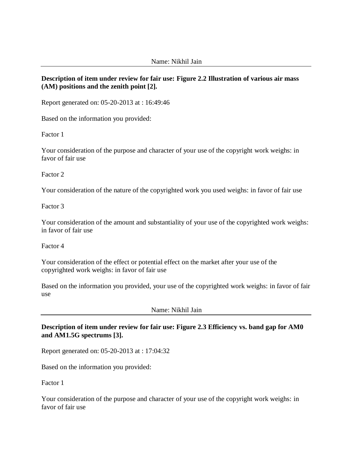#### **Description of item under review for fair use: Figure 2.2 Illustration of various air mass (AM) positions and the zenith point [2].**

Report generated on: 05-20-2013 at : 16:49:46

Based on the information you provided:

Factor 1

Your consideration of the purpose and character of your use of the copyright work weighs: in favor of fair use

Factor 2

Your consideration of the nature of the copyrighted work you used weighs: in favor of fair use

Factor 3

Your consideration of the amount and substantiality of your use of the copyrighted work weighs: in favor of fair use

Factor 4

Your consideration of the effect or potential effect on the market after your use of the copyrighted work weighs: in favor of fair use

Based on the information you provided, your use of the copyrighted work weighs: in favor of fair use

Name: Nikhil Jain

**Description of item under review for fair use: Figure 2.3 Efficiency vs. band gap for AM0 and AM1.5G spectrums [3].**

Report generated on: 05-20-2013 at : 17:04:32

Based on the information you provided:

Factor 1

Your consideration of the purpose and character of your use of the copyright work weighs: in favor of fair use